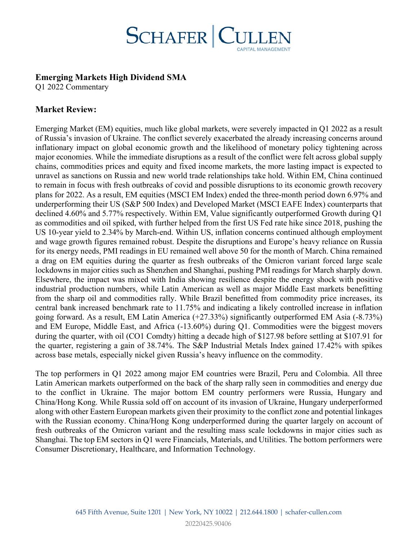

## **Emerging Markets High Dividend SMA**

Q1 2022 Commentary

# **Market Review:**

Emerging Market (EM) equities, much like global markets, were severely impacted in Q1 2022 as a result of Russia's invasion of Ukraine. The conflict severely exacerbated the already increasing concerns around inflationary impact on global economic growth and the likelihood of monetary policy tightening across major economies. While the immediate disruptions as a result of the conflict were felt across global supply chains, commodities prices and equity and fixed income markets, the more lasting impact is expected to unravel as sanctions on Russia and new world trade relationships take hold. Within EM, China continued to remain in focus with fresh outbreaks of covid and possible disruptions to its economic growth recovery plans for 2022. As a result, EM equities (MSCI EM Index) ended the three-month period down 6.97% and underperforming their US (S&P 500 Index) and Developed Market (MSCI EAFE Index) counterparts that declined 4.60% and 5.77% respectively. Within EM, Value significantly outperformed Growth during Q1 as commodities and oil spiked, with further helped from the first US Fed rate hike since 2018, pushing the US 10-year yield to 2.34% by March-end. Within US, inflation concerns continued although employment and wage growth figures remained robust. Despite the disruptions and Europe's heavy reliance on Russia for its energy needs, PMI readings in EU remained well above 50 for the month of March. China remained a drag on EM equities during the quarter as fresh outbreaks of the Omicron variant forced large scale lockdowns in major cities such as Shenzhen and Shanghai, pushing PMI readings for March sharply down. Elsewhere, the impact was mixed with India showing resilience despite the energy shock with positive industrial production numbers, while Latin American as well as major Middle East markets benefitting from the sharp oil and commodities rally. While Brazil benefitted from commodity price increases, its central bank increased benchmark rate to 11.75% and indicating a likely controlled increase in inflation going forward. As a result, EM Latin America (+27.33%) significantly outperformed EM Asia (-8.73%) and EM Europe, Middle East, and Africa (-13.60%) during Q1. Commodities were the biggest movers during the quarter, with oil (CO1 Comdty) hitting a decade high of \$127.98 before settling at \$107.91 for the quarter, registering a gain of 38.74%. The S&P Industrial Metals Index gained 17.42% with spikes across base metals, especially nickel given Russia's heavy influence on the commodity.

The top performers in Q1 2022 among major EM countries were Brazil, Peru and Colombia. All three Latin American markets outperformed on the back of the sharp rally seen in commodities and energy due to the conflict in Ukraine. The major bottom EM country performers were Russia, Hungary and China/Hong Kong. While Russia sold off on account of its invasion of Ukraine, Hungary underperformed along with other Eastern European markets given their proximity to the conflict zone and potential linkages with the Russian economy. China/Hong Kong underperformed during the quarter largely on account of fresh outbreaks of the Omicron variant and the resulting mass scale lockdowns in major cities such as Shanghai. The top EM sectors in Q1 were Financials, Materials, and Utilities. The bottom performers were Consumer Discretionary, Healthcare, and Information Technology.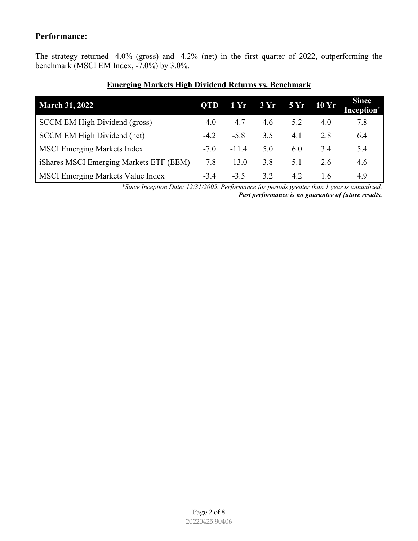# **Performance:**

The strategy returned -4.0% (gross) and -4.2% (net) in the first quarter of 2022, outperforming the benchmark (MSCI EM Index, -7.0%) by 3.0%.

| <b>March 31, 2022</b>                    | <b>QTD</b> | 1 Yr    | 3Yr | 5 Yr | 10 Yr | <b>Since</b><br><b>Inception*</b> |
|------------------------------------------|------------|---------|-----|------|-------|-----------------------------------|
| SCCM EM High Dividend (gross)            | $-4.0$     | $-4.7$  | 4.6 | 5.2  | 4.0   | 7.8                               |
| SCCM EM High Dividend (net)              | $-4.2$     | $-5.8$  | 3.5 | 4.1  | 2.8   | 6.4                               |
| <b>MSCI Emerging Markets Index</b>       | $-7.0$     | $-11.4$ | 5.0 | 6.0  | 3.4   | 5.4                               |
| iShares MSCI Emerging Markets ETF (EEM)  | $-7.8$     | $-13.0$ | 3.8 | 5.1  | 2.6   | 4.6                               |
| <b>MSCI Emerging Markets Value Index</b> | $-3.4$     | $-3.5$  | 3.2 | 4.2  | 1.6   | 4.9                               |

### **Emerging Markets High Dividend Returns vs. Benchmark**

*\*Since Inception Date: 12/31/2005. Performance for periods greater than 1 year is annualized. Past performance is no guarantee of future results.*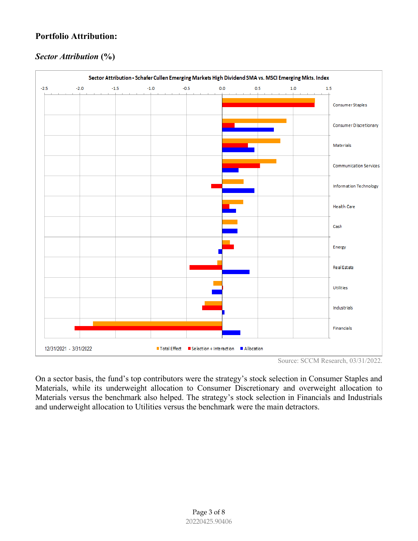# **Portfolio Attribution:**

# *Sector Attribution* **(%)**



Source: SCCM Research, 03/31/2022.

On a sector basis, the fund's top contributors were the strategy's stock selection in Consumer Staples and Materials, while its underweight allocation to Consumer Discretionary and overweight allocation to Materials versus the benchmark also helped. The strategy's stock selection in Financials and Industrials and underweight allocation to Utilities versus the benchmark were the main detractors.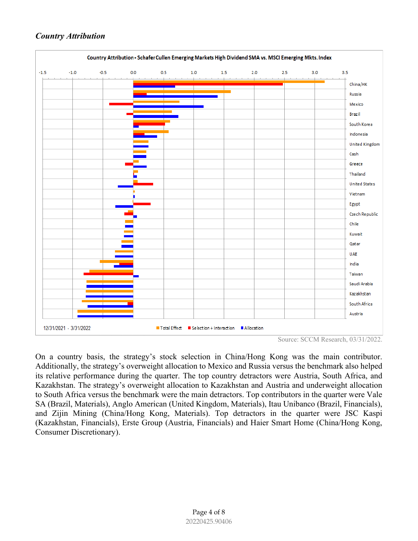### *Country Attribution*



Source: SCCM Research, 03/31/2022.

On a country basis, the strategy's stock selection in China/Hong Kong was the main contributor. Additionally, the strategy's overweight allocation to Mexico and Russia versus the benchmark also helped its relative performance during the quarter. The top country detractors were Austria, South Africa, and Kazakhstan. The strategy's overweight allocation to Kazakhstan and Austria and underweight allocation to South Africa versus the benchmark were the main detractors. Top contributors in the quarter were Vale SA (Brazil, Materials), Anglo American (United Kingdom, Materials), Itau Unibanco (Brazil, Financials), and Zijin Mining (China/Hong Kong, Materials). Top detractors in the quarter were JSC Kaspi (Kazakhstan, Financials), Erste Group (Austria, Financials) and Haier Smart Home (China/Hong Kong, Consumer Discretionary).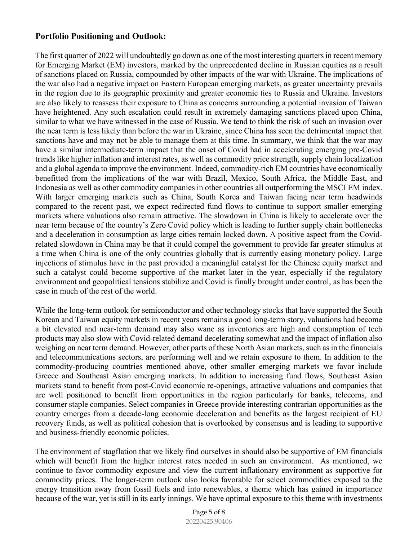# **Portfolio Positioning and Outlook:**

The first quarter of 2022 will undoubtedly go down as one of the most interesting quarters in recent memory for Emerging Market (EM) investors, marked by the unprecedented decline in Russian equities as a result of sanctions placed on Russia, compounded by other impacts of the war with Ukraine. The implications of the war also had a negative impact on Eastern European emerging markets, as greater uncertainty prevails in the region due to its geographic proximity and greater economic ties to Russia and Ukraine. Investors are also likely to reassess their exposure to China as concerns surrounding a potential invasion of Taiwan have heightened. Any such escalation could result in extremely damaging sanctions placed upon China, similar to what we have witnessed in the case of Russia. We tend to think the risk of such an invasion over the near term is less likely than before the war in Ukraine, since China has seen the detrimental impact that sanctions have and may not be able to manage them at this time. In summary, we think that the war may have a similar intermediate-term impact that the onset of Covid had in accelerating emerging pre-Covid trends like higher inflation and interest rates, as well as commodity price strength, supply chain localization and a global agenda to improve the environment. Indeed, commodity-rich EM countries have economically benefitted from the implications of the war with Brazil, Mexico, South Africa, the Middle East, and Indonesia as well as other commodity companies in other countries all outperforming the MSCI EM index. With larger emerging markets such as China, South Korea and Taiwan facing near term headwinds compared to the recent past, we expect redirected fund flows to continue to support smaller emerging markets where valuations also remain attractive. The slowdown in China is likely to accelerate over the near term because of the country's Zero Covid policy which is leading to further supply chain bottlenecks and a deceleration in consumption as large cities remain locked down. A positive aspect from the Covidrelated slowdown in China may be that it could compel the government to provide far greater stimulus at a time when China is one of the only countries globally that is currently easing monetary policy. Large injections of stimulus have in the past provided a meaningful catalyst for the Chinese equity market and such a catalyst could become supportive of the market later in the year, especially if the regulatory environment and geopolitical tensions stabilize and Covid is finally brought under control, as has been the case in much of the rest of the world.

While the long-term outlook for semiconductor and other technology stocks that have supported the South Korean and Taiwan equity markets in recent years remains a good long-term story, valuations had become a bit elevated and near-term demand may also wane as inventories are high and consumption of tech products may also slow with Covid-related demand decelerating somewhat and the impact of inflation also weighing on near term demand. However, other parts of these North Asian markets, such as in the financials and telecommunications sectors, are performing well and we retain exposure to them. In addition to the commodity-producing countries mentioned above, other smaller emerging markets we favor include Greece and Southeast Asian emerging markets. In addition to increasing fund flows, Southeast Asian markets stand to benefit from post-Covid economic re-openings, attractive valuations and companies that are well positioned to benefit from opportunities in the region particularly for banks, telecoms, and consumer staple companies. Select companies in Greece provide interesting contrarian opportunities as the country emerges from a decade-long economic deceleration and benefits as the largest recipient of EU recovery funds, as well as political cohesion that is overlooked by consensus and is leading to supportive and business-friendly economic policies.

The environment of stagflation that we likely find ourselves in should also be supportive of EM financials which will benefit from the higher interest rates needed in such an environment. As mentioned, we continue to favor commodity exposure and view the current inflationary environment as supportive for commodity prices. The longer-term outlook also looks favorable for select commodities exposed to the energy transition away from fossil fuels and into renewables, a theme which has gained in importance because of the war, yet is still in its early innings. We have optimal exposure to this theme with investments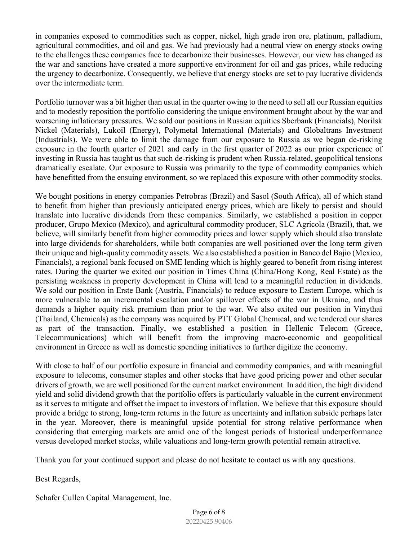in companies exposed to commodities such as copper, nickel, high grade iron ore, platinum, palladium, agricultural commodities, and oil and gas. We had previously had a neutral view on energy stocks owing to the challenges these companies face to decarbonize their businesses. However, our view has changed as the war and sanctions have created a more supportive environment for oil and gas prices, while reducing the urgency to decarbonize. Consequently, we believe that energy stocks are set to pay lucrative dividends over the intermediate term.

Portfolio turnover was a bit higher than usual in the quarter owing to the need to sell all our Russian equities and to modestly reposition the portfolio considering the unique environment brought about by the war and worsening inflationary pressures. We sold our positions in Russian equities Sberbank (Financials), Norilsk Nickel (Materials), Lukoil (Energy), Polymetal International (Materials) and Globaltrans Investment (Industrials). We were able to limit the damage from our exposure to Russia as we began de-risking exposure in the fourth quarter of 2021 and early in the first quarter of 2022 as our prior experience of investing in Russia has taught us that such de-risking is prudent when Russia-related, geopolitical tensions dramatically escalate. Our exposure to Russia was primarily to the type of commodity companies which have benefitted from the ensuing environment, so we replaced this exposure with other commodity stocks.

We bought positions in energy companies Petrobras (Brazil) and Sasol (South Africa), all of which stand to benefit from higher than previously anticipated energy prices, which are likely to persist and should translate into lucrative dividends from these companies. Similarly, we established a position in copper producer, Grupo Mexico (Mexico), and agricultural commodity producer, SLC Agricola (Brazil), that, we believe, will similarly benefit from higher commodity prices and lower supply which should also translate into large dividends for shareholders, while both companies are well positioned over the long term given their unique and high-quality commodity assets. We also established a position in Banco del Bajio (Mexico, Financials), a regional bank focused on SME lending which is highly geared to benefit from rising interest rates. During the quarter we exited our position in Times China (China/Hong Kong, Real Estate) as the persisting weakness in property development in China will lead to a meaningful reduction in dividends. We sold our position in Erste Bank (Austria, Financials) to reduce exposure to Eastern Europe, which is more vulnerable to an incremental escalation and/or spillover effects of the war in Ukraine, and thus demands a higher equity risk premium than prior to the war. We also exited our position in Vinythai (Thailand, Chemicals) as the company was acquired by PTT Global Chemical, and we tendered our shares as part of the transaction. Finally, we established a position in Hellenic Telecom (Greece, Telecommunications) which will benefit from the improving macro-economic and geopolitical environment in Greece as well as domestic spending initiatives to further digitize the economy.

With close to half of our portfolio exposure in financial and commodity companies, and with meaningful exposure to telecoms, consumer staples and other stocks that have good pricing power and other secular drivers of growth, we are well positioned for the current market environment. In addition, the high dividend yield and solid dividend growth that the portfolio offers is particularly valuable in the current environment as it serves to mitigate and offset the impact to investors of inflation. We believe that this exposure should provide a bridge to strong, long-term returns in the future as uncertainty and inflation subside perhaps later in the year. Moreover, there is meaningful upside potential for strong relative performance when considering that emerging markets are amid one of the longest periods of historical underperformance versus developed market stocks, while valuations and long-term growth potential remain attractive.

Thank you for your continued support and please do not hesitate to contact us with any questions.

Best Regards,

Schafer Cullen Capital Management, Inc.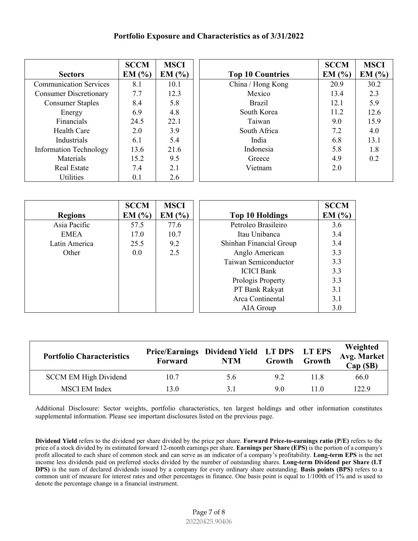#### **Portfolio Exposure and Characteristics as of 3/31/2022**

|                               | <b>SCCM</b> | <b>MSCI</b> |                         | <b>SCCM</b> | <b>MSCI</b> |
|-------------------------------|-------------|-------------|-------------------------|-------------|-------------|
| <b>Sectors</b>                | EM(%)       | EM(%)       | <b>Top 10 Countries</b> | EM(%)       | EM(%)       |
| <b>Communication Services</b> | 8.1         | 10.1        | China / Hong Kong       | 20.9        | 30.2        |
| <b>Consumer Discretionary</b> | 7.7         | 12.3        | Mexico                  | 13.4        | 2.3         |
| <b>Consumer Staples</b>       | 8.4         | 5.8         | <b>Brazil</b>           | 12.1        | 5.9         |
| Energy                        | 6.9         | 4.8         | South Korea             | 11.2        | 12.6        |
| Financials                    | 24.5        | 22.1        | Taiwan                  | 9.0         | 15.9        |
| Health Care                   | 2.0         | 3.9         | South Africa            | 7.2         | 4.0         |
| Industrials                   | 6.1         | 5.4         | India                   | 6.8         | 13.1        |
| <b>Information Technology</b> | 13.6        | 21.6        | Indonesia               | 5.8         | 1.8         |
| Materials                     | 15.2        | 9.5         | Greece                  | 4.9         | 0.2         |
| <b>Real Estate</b>            | 7.4         | 2.1         | Vietnam                 | 2.0         |             |
| Utilities                     | 0.1         | 2.6         |                         |             |             |

|                | <b>SCCM</b> | <b>MSCI</b> |                         | <b>SCCM</b> |
|----------------|-------------|-------------|-------------------------|-------------|
| <b>Regions</b> | EM(%)       | EM(%)       | <b>Top 10 Holdings</b>  | EM(%)       |
| Asia Pacific   | 57.5        | 77.6        | Petroleo Brasileiro     | 3.6         |
| <b>EMEA</b>    | 17.0        | 10.7        | Itau Unibanca           | 3.4         |
| Latin America  | 25.5        | 9.2         | Shinhan Financial Group | 3.4         |
| Other          | 0.0         | 2.5         | Anglo American          | 3.3         |
|                |             |             | Taiwan Semiconductor    | 3.3         |
|                |             |             | <b>ICICI</b> Bank       | 3.3         |
|                |             |             | Prologis Property       | 3.3         |
|                |             |             | PT Bank Rakyat          | 3.1         |
|                |             |             | Arca Continental        | 3.1         |
|                |             |             | AIA Group               | 3.0         |

| <b>Portfolio Characteristics</b> | <b>Forward</b> | <b>NTM</b> | Growth | Weighted<br>Price/Earnings Dividend Yield LT DPS LT EPS<br>Avg. Market<br>Growth<br>Cap(SB) |       |
|----------------------------------|----------------|------------|--------|---------------------------------------------------------------------------------------------|-------|
| <b>SCCM EM High Dividend</b>     | 10.7           | 5.6        | 9.2    | 11.8                                                                                        | 66.0  |
| <b>MSCI EM Index</b>             | 13.0           | 3.1        | 9.0    | 11.0                                                                                        | 122.9 |

Additional Disclosure: Sector weights, portfolio characteristics, ten largest holdings and other information constitutes supplemental information. Please see important disclosures listed on the previous page.

**Dividend Yield** refers to the dividend per share divided by the price per share. **Forward Price-to-earnings ratio (P/E)** refers to the price of a stock divided by its estimated forward 12-month earnings per share. **Earnings per Share (EPS)** is the portion of a company's profit allocated to each share of common stock and can serve as an indicator of a company's profitability. **Long-term EPS** is the net income less dividends paid on preferred stocks divided by the number of outstanding shares. **Long-term Dividend per Share (LT DPS)** is the sum of declared dividends issued by a company for every ordinary share outstanding. **Basis points (BPS)** refers to a common unit of measure for interest rates and other percentages in finance. One basis point is equal to 1/100th of 1% and is used to denote the percentage change in a financial instrument.